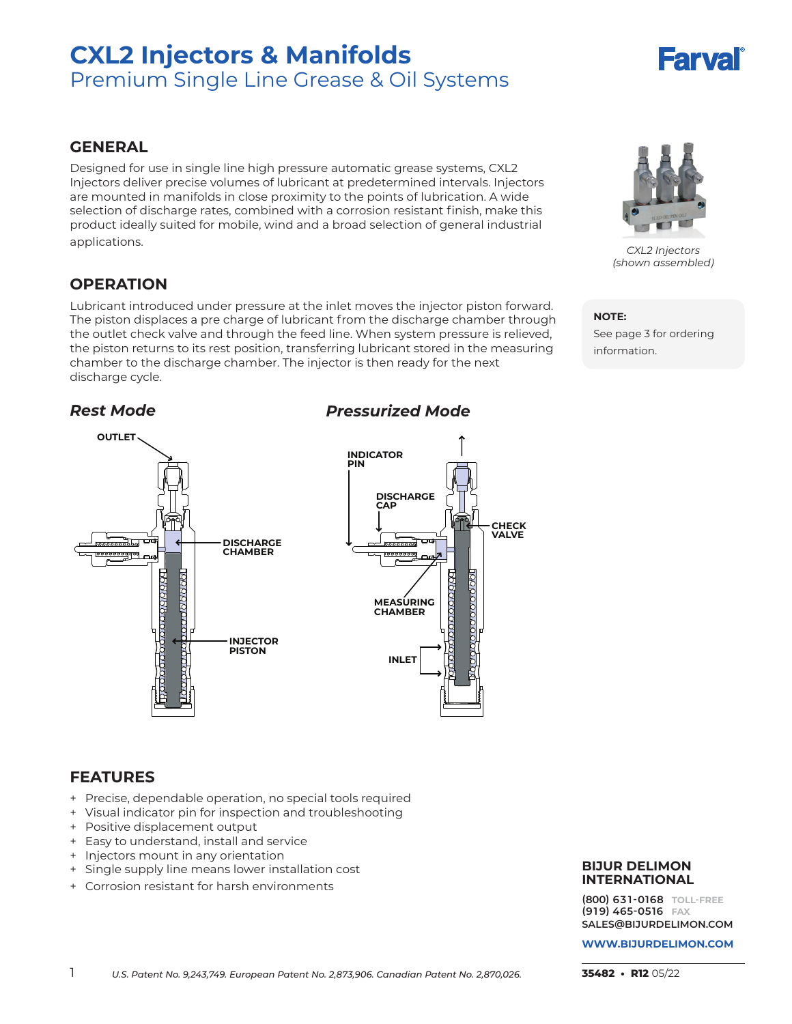## **CXL2 Injectors & Manifolds** Premium Single Line Grease & Oil Systems



#### **General**

Designed for use in single line high pressure automatic grease systems, CXL2 Injectors deliver precise volumes of lubricant at predetermined intervals. Injectors are mounted in manifolds in close proximity to the points of lubrication. A wide selection of discharge rates, combined with a corrosion resistant finish, make this product ideally suited for mobile, wind and a broad selection of general industrial applications.

### **Operation**

Lubricant introduced under pressure at the inlet moves the injector piston forward. The piston displaces a pre charge of lubricant from the discharge chamber through the outlet check valve and through the feed line. When system pressure is relieved, the piston returns to its rest position, transferring lubricant stored in the measuring chamber to the discharge chamber. The injector is then ready for the next discharge cycle.

#### *Rest Mode*

## **OUTLET OUTLET**  $\overbrace{\hspace{13.5cm}}^{\hspace{-3.1mm} \text{measurable}}$ **DISCHARGE DISCHARGE**  <u>199999999</u>99 **CHAMBER CHAMBER RAQQQQQ** 2999999 **INJECTOR INJECTOR PISTON PISTON**

### **INDICATOR INDICATOR PIN PIN DISCHARGE DISCHARGE CAP C CHECK CHECK VALVE VALVE**  e<br>Raaaaa 100000000 **RPA MEASURING MEASURING CHAMBER CHAMBER INLET INLET**

*Pressurized Mode*

#### **Features**

- + Precise, dependable operation, no special tools required
- + Visual indicator pin for inspection and troubleshooting
- + Positive displacement output
- + Easy to understand, install and service
- + Injectors mount in any orientation
- + Single supply line means lower installation cost
- + Corrosion resistant for harsh environments

#### **BIJUR DELIMON INTERNATIONAL**

**(800) 63 1-0168 TOLL-FREE (91 9) 465-0516 FAX sales@bijurdelimon.com**

#### **www.bijurdelimon.coM**



*CXL2 Injectors (shown assembled)*

#### **NOTE:**

See page 3 for ordering information.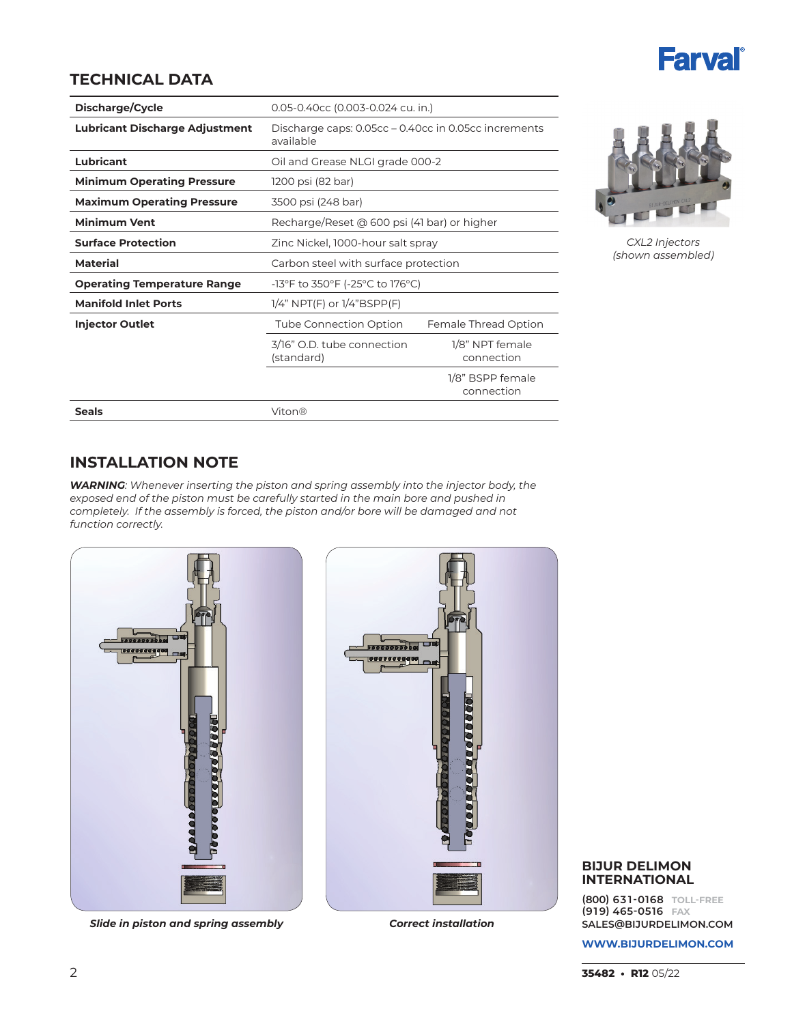# **Farval**®

### **Technical Data**

| Discharge/Cycle                       | 0.05-0.40cc (0.003-0.024 cu. in.)                                 |                                |  |
|---------------------------------------|-------------------------------------------------------------------|--------------------------------|--|
| <b>Lubricant Discharge Adjustment</b> | Discharge caps: 0.05cc - 0.40cc in 0.05cc increments<br>available |                                |  |
| Lubricant                             | Oil and Grease NLGI grade 000-2                                   |                                |  |
| <b>Minimum Operating Pressure</b>     | 1200 psi (82 bar)                                                 |                                |  |
| <b>Maximum Operating Pressure</b>     | 3500 psi (248 bar)                                                |                                |  |
| <b>Minimum Vent</b>                   | Recharge/Reset @ 600 psi (41 bar) or higher                       |                                |  |
| <b>Surface Protection</b>             | Zinc Nickel, 1000-hour salt spray                                 |                                |  |
| <b>Material</b>                       | Carbon steel with surface protection                              |                                |  |
| <b>Operating Temperature Range</b>    | -13°F to 350°F (-25°C to 176°C)                                   |                                |  |
| <b>Manifold Inlet Ports</b>           | $1/4$ " NPT(F) or $1/4$ "BSPP(F)                                  |                                |  |
| <b>Injector Outlet</b>                | Tube Connection Option                                            | Female Thread Option           |  |
|                                       | 3/16" O.D. tube connection<br>(standard)                          | 1/8" NPT female<br>connection  |  |
|                                       |                                                                   | 1/8" BSPP female<br>connection |  |
| <b>Seals</b>                          | Viton®                                                            |                                |  |



*CXL2 Injectors (shown assembled)*

### **Installation Note**

*WARNING: Whenever inserting the piston and spring assembly into the injector body, the exposed end of the piston must be carefully started in the main bore and pushed in completely. If the assembly is forced, the piston and/or bore will be damaged and not function correctly.*



*Slide in piston and spring assembly Correct installation*



#### **BIJUR DELIMON INTERNATIONAL**

**(800) 63 1-0168 TOLL-FREE (91 9) 465-0516 FAX sales@bijurdelimon.com**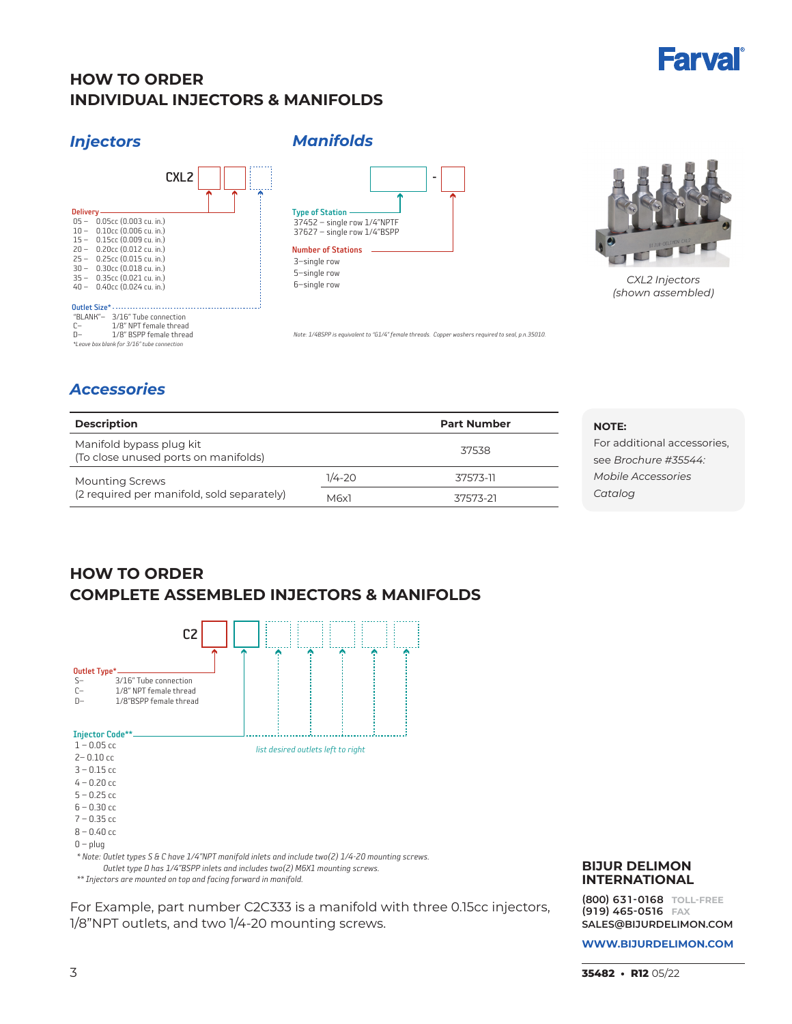

### **How to Order Individual Injectors & Manifolds**

### *Injectors*



*Manifolds*

*CXL2 Injectors (shown assembled)*

al accessories.

### *Accessories*

C- 1/8" NPT female thread<br>D- 1/8" BSPP female threa *\*Leave box blank for 3/16" tube connection*

1/8" BSPP female thread

| <b>Description</b>                                               |            | <b>Part Number</b> | <b>NOTE:</b>                                   |
|------------------------------------------------------------------|------------|--------------------|------------------------------------------------|
| Manifold bypass plug kit<br>(To close unused ports on manifolds) |            | 37538              | For additional accesso<br>see Brochure #35544: |
| <b>Mounting Screws</b>                                           | $1/4 - 20$ | 37573-11           | Mobile Accessories                             |
| (2 required per manifold, sold separately)                       | M6x1       | 37573-21           | Catalog                                        |

*Note: 1/4BSPP is equivalent to "G1/4" female threads. Copper washers required to seal, p.n.35010.* 

### **How to Order Complete Assembled Injectors & Manifolds**



For Example, part number C2C333 is a manifold with three 0.15cc injectors, 1/8"NPT outlets, and two 1/4-20 mounting screws.

#### **BIJUR DELIMON INTERNATIONAL**

**(800) 63 1-0168 TOLL-FREE (91 9) 465-0516 FAX sales@bijurdelimon.com**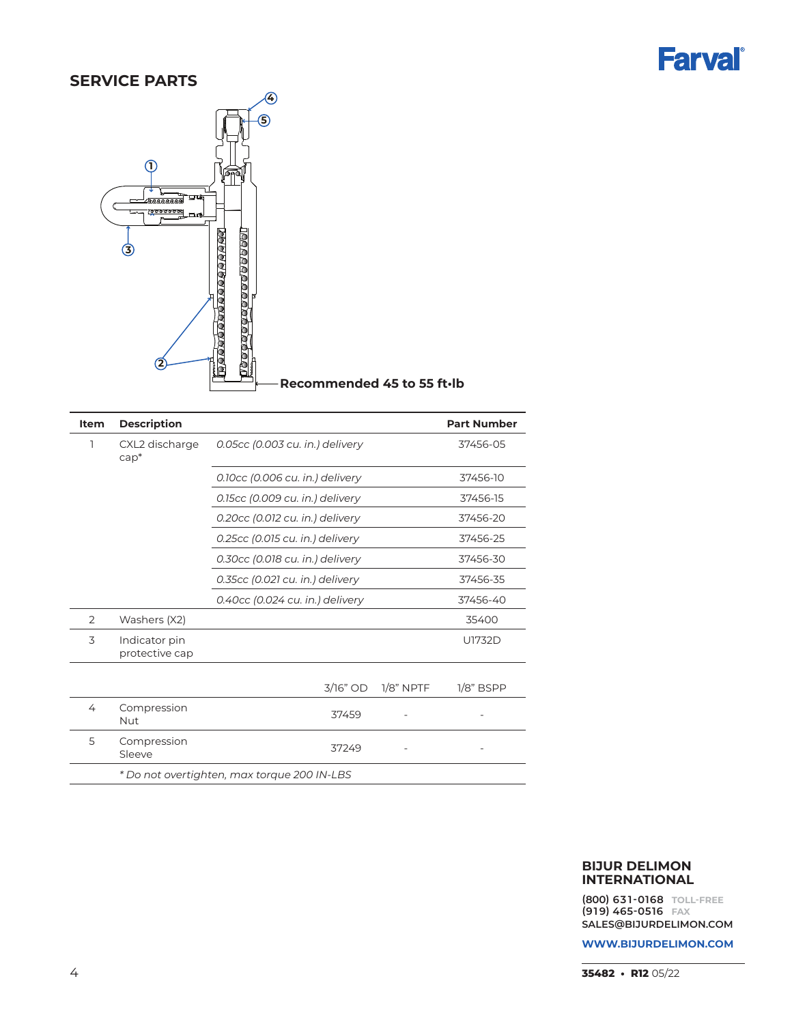

### **Service PartS**



| Item | <b>Description</b>                          |                                 |                                 |             | <b>Part Number</b> |  |
|------|---------------------------------------------|---------------------------------|---------------------------------|-------------|--------------------|--|
| ı    | CXL2 discharge<br>$cap^*$                   | 0.05cc (0.003 cu. in.) delivery |                                 |             | 37456-05           |  |
|      |                                             | 0.10cc (0.006 cu. in.) delivery |                                 |             | 37456-10           |  |
|      |                                             | 0.15cc (0.009 cu. in.) delivery |                                 |             | 37456-15           |  |
|      |                                             | 0.20cc (0.012 cu. in.) delivery |                                 |             | 37456-20           |  |
|      |                                             | 0.25cc (0.015 cu. in.) delivery |                                 |             | 37456-25           |  |
|      |                                             |                                 | 0.30cc (0.018 cu. in.) delivery |             |                    |  |
|      |                                             | 0.35cc (0.021 cu. in.) delivery |                                 |             | 37456-35           |  |
|      |                                             | 0.40cc (0.024 cu. in.) delivery |                                 |             | 37456-40           |  |
| 2    | Washers (X2)                                |                                 |                                 |             | 35400              |  |
| 3    | Indicator pin<br>protective cap             |                                 |                                 |             | U1732D             |  |
|      |                                             |                                 | 3/16" OD                        | $1/8"$ NPTF | $1/8$ " BSPP       |  |
| 4    | Compression<br>Nut                          |                                 | 37459                           |             |                    |  |
| 5    | Compression<br>Sleeve                       |                                 | 37249                           |             |                    |  |
|      | * Do not overtighten, max torque 200 IN-LBS |                                 |                                 |             |                    |  |

#### **BIJUR DELIMON INTERNATIONAL**

**(800) 63 1-0168 TOLL-FREE (91 9) 465-0516 FAX sales@bijurdelimon.com**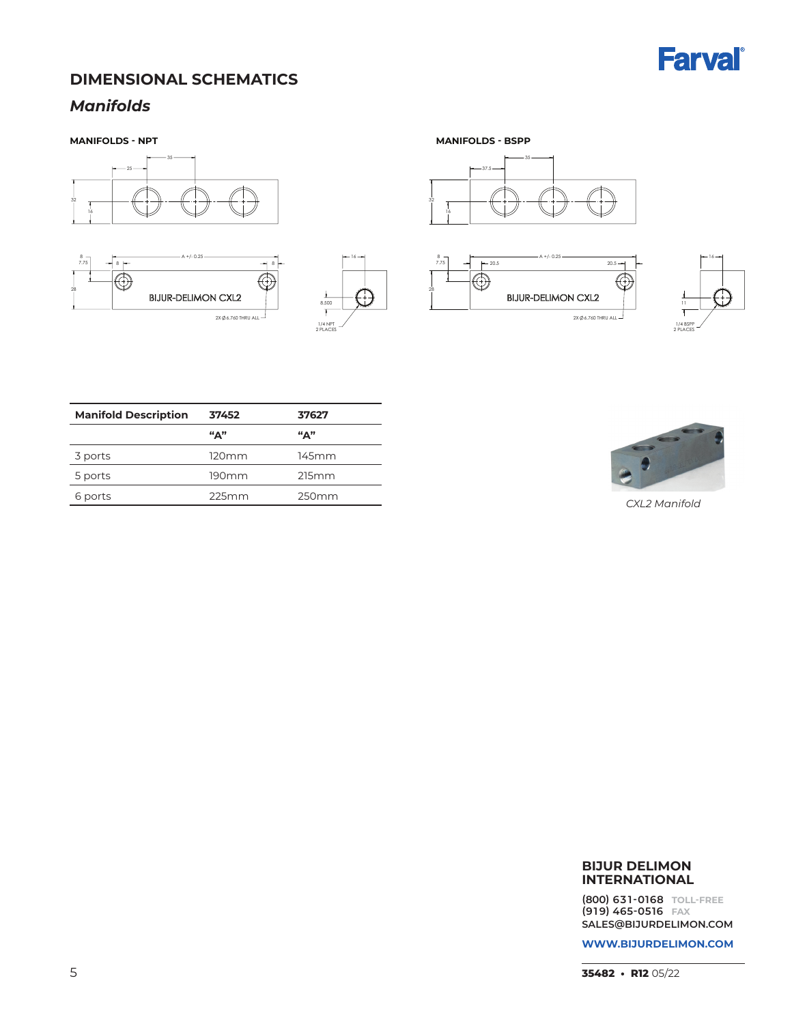

### **Dimensional Schematics**

### *Manifolds*







**MANIFOLDS - NPT MANIFOLDS - BSPP**











*CXL2 Manifold*

#### **BIJUR DELIMON INTERNATIONAL**

**(800) 63 1-0168 TOLL-FREE (91 9) 465-0516 FAX sales@bijurdelimon.com**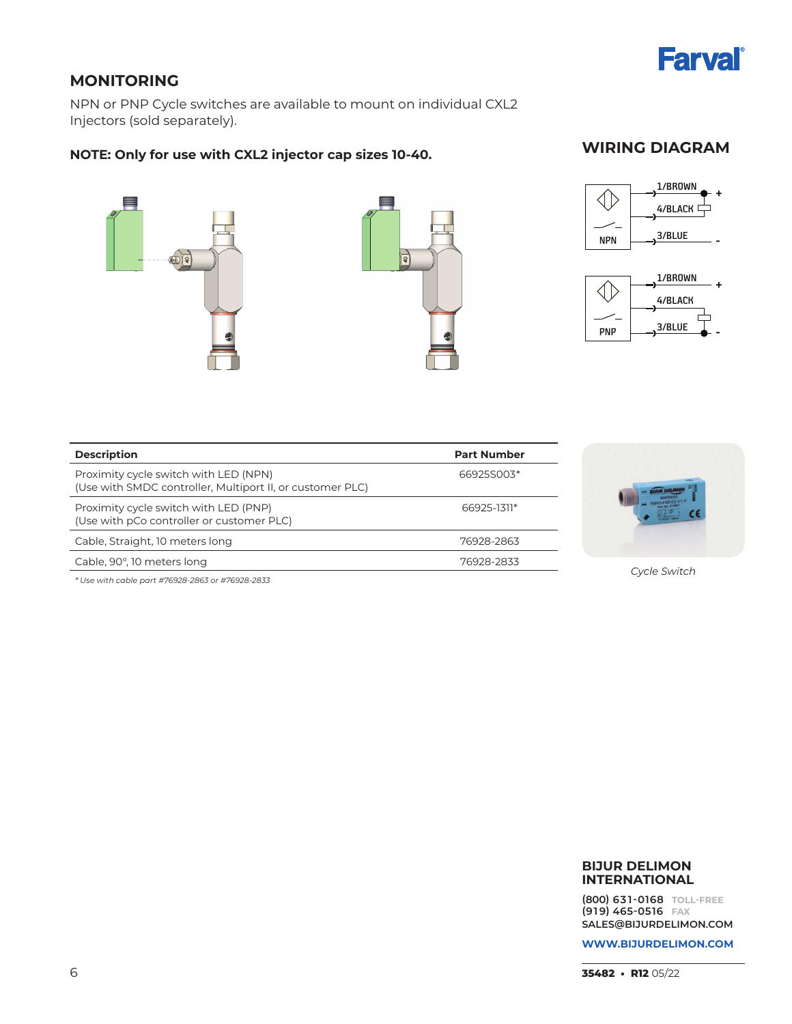

### **Monitoring**

NPN or PNP Cycle switches are available to mount on individual CXL2 Injectors (sold separately).

#### **NOTE: Only for use with CXL2 injector cap sizes 10-40.**

#### **Wiring Diagram**









| <b>Description</b>                                                                                 | <b>Part Number</b> |
|----------------------------------------------------------------------------------------------------|--------------------|
| Proximity cycle switch with LED (NPN)<br>(Use with SMDC controller, Multiport II, or customer PLC) | 66925S003*         |
| Proximity cycle switch with LED (PNP)<br>(Use with pCo controller or customer PLC)                 | 66925-1311*        |
| Cable, Straight, 10 meters long                                                                    | 76928-2863         |
| Cable, 90°, 10 meters long                                                                         | 76928-2833         |



*\* Use with cable part #76928-2863 or #76928-2833*

*Cycle Switch*

#### **BIJUR DELIMON INTERNATIONAL**

**(800) 63 1-0168 TOLL-FREE (91 9) 465-0516 FAX sales@bijurdelimon.com**